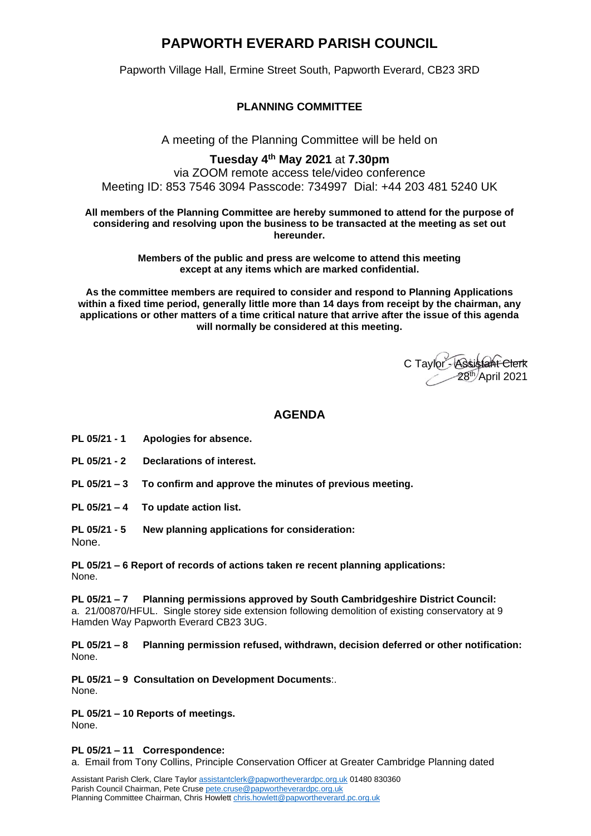# **PAPWORTH EVERARD PARISH COUNCIL**

Papworth Village Hall, Ermine Street South, Papworth Everard, CB23 3RD

**PLANNING COMMITTEE**

A meeting of the Planning Committee will be held on

## **Tuesday 4 th May 2021** at **7.30pm**

via ZOOM remote access tele/video conference Meeting ID: 853 7546 3094 Passcode: 734997 Dial: +44 203 481 5240 UK

**All members of the Planning Committee are hereby summoned to attend for the purpose of considering and resolving upon the business to be transacted at the meeting as set out hereunder.**

> **Members of the public and press are welcome to attend this meeting except at any items which are marked confidential.**

**As the committee members are required to consider and respond to Planning Applications within a fixed time period, generally little more than 14 days from receipt by the chairman, any applications or other matters of a time critical nature that arrive after the issue of this agenda will normally be considered at this meeting.**

C Taylor - Assistant Clerk 28<sup>th/</sup>April 2021

## **AGENDA**

- **PL 05/21 - 1 Apologies for absence.**
- **PL 05/21 - 2 Declarations of interest.**

**PL 05/21 – 3 To confirm and approve the minutes of previous meeting.** 

**PL 05/21 – 4 To update action list.**

**PL 05/21 - 5 New planning applications for consideration:**

None.

**PL 05/21 – 6 Report of records of actions taken re recent planning applications:** None.

**PL 05/21 – 7 Planning permissions approved by South Cambridgeshire District Council:**  a. 21/00870/HFUL. Single storey side extension following demolition of existing conservatory at 9 Hamden Way Papworth Everard CB23 3UG.

**PL 05/21 – 8 Planning permission refused, withdrawn, decision deferred or other notification:** None.

**PL 05/21 – 9 Consultation on Development Documents**:.

None.

### **PL 05/21 – 10 Reports of meetings.**

None.

**PL 05/21 – 11 Correspondence:**

a. Email from Tony Collins, Principle Conservation Officer at Greater Cambridge Planning dated